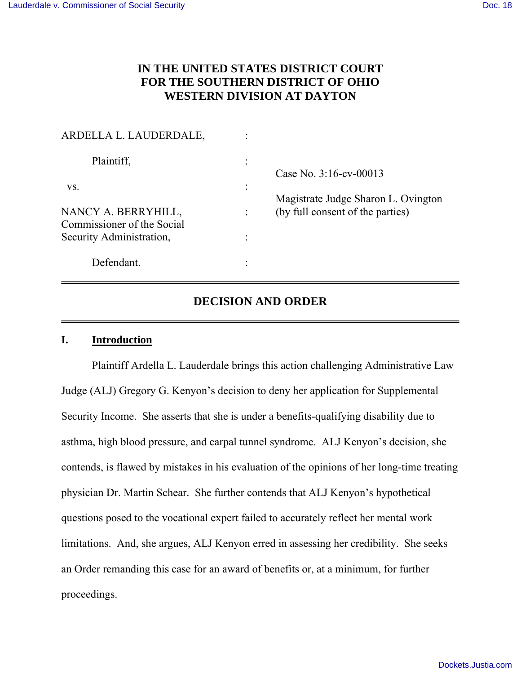# **IN THE UNITED STATES DISTRICT COURT FOR THE SOUTHERN DISTRICT OF OHIO WESTERN DIVISION AT DAYTON**

| ARDELLA L. LAUDERDALE,                            |  |                                                               |
|---------------------------------------------------|--|---------------------------------------------------------------|
| Plaintiff,                                        |  | Case No. 3:16-cv-00013<br>Magistrate Judge Sharon L. Ovington |
| VS.                                               |  |                                                               |
| NANCY A. BERRYHILL,<br>Commissioner of the Social |  | (by full consent of the parties)                              |
| Security Administration,                          |  |                                                               |
| Defendant.                                        |  |                                                               |

## **DECISION AND ORDER**

## **I. Introduction**

 Plaintiff Ardella L. Lauderdale brings this action challenging Administrative Law Judge (ALJ) Gregory G. Kenyon's decision to deny her application for Supplemental Security Income. She asserts that she is under a benefits-qualifying disability due to asthma, high blood pressure, and carpal tunnel syndrome. ALJ Kenyon's decision, she contends, is flawed by mistakes in his evaluation of the opinions of her long-time treating physician Dr. Martin Schear. She further contends that ALJ Kenyon's hypothetical questions posed to the vocational expert failed to accurately reflect her mental work limitations. And, she argues, ALJ Kenyon erred in assessing her credibility. She seeks an Order remanding this case for an award of benefits or, at a minimum, for further proceedings.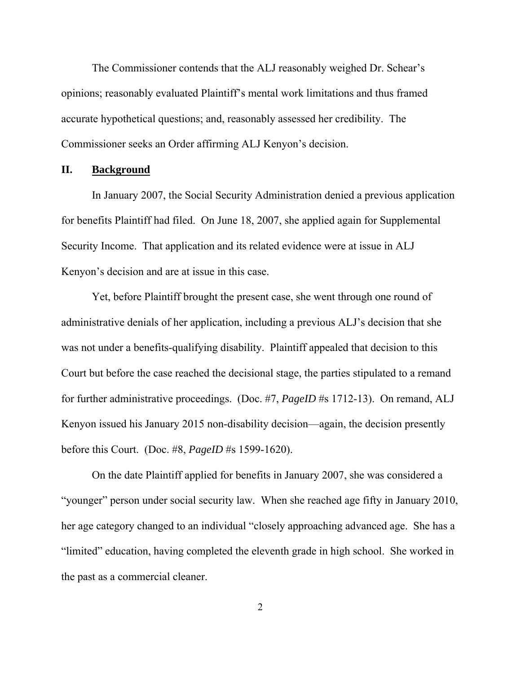The Commissioner contends that the ALJ reasonably weighed Dr. Schear's opinions; reasonably evaluated Plaintiff's mental work limitations and thus framed accurate hypothetical questions; and, reasonably assessed her credibility. The Commissioner seeks an Order affirming ALJ Kenyon's decision.

## **II. Background**

 In January 2007, the Social Security Administration denied a previous application for benefits Plaintiff had filed. On June 18, 2007, she applied again for Supplemental Security Income. That application and its related evidence were at issue in ALJ Kenyon's decision and are at issue in this case.

 Yet, before Plaintiff brought the present case, she went through one round of administrative denials of her application, including a previous ALJ's decision that she was not under a benefits-qualifying disability. Plaintiff appealed that decision to this Court but before the case reached the decisional stage, the parties stipulated to a remand for further administrative proceedings. (Doc. #7, *PageID* #s 1712-13). On remand, ALJ Kenyon issued his January 2015 non-disability decision—again, the decision presently before this Court. (Doc. #8, *PageID* #s 1599-1620).

 On the date Plaintiff applied for benefits in January 2007, she was considered a "younger" person under social security law. When she reached age fifty in January 2010, her age category changed to an individual "closely approaching advanced age. She has a "limited" education, having completed the eleventh grade in high school. She worked in the past as a commercial cleaner.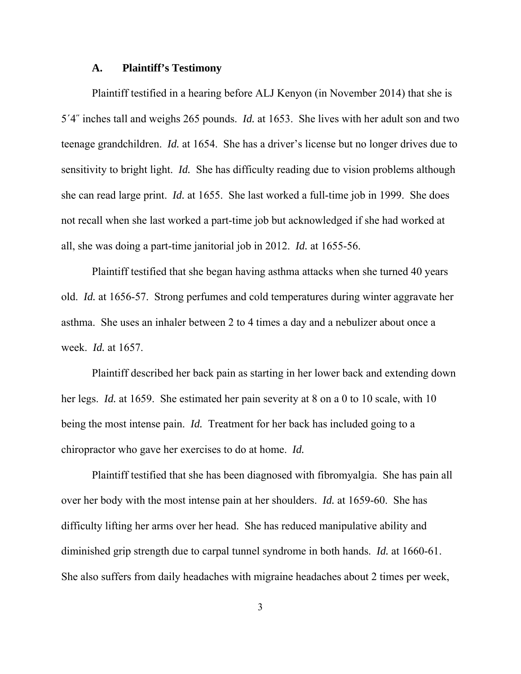## **A. Plaintiff's Testimony**

 Plaintiff testified in a hearing before ALJ Kenyon (in November 2014) that she is 5ˊ4˝ inches tall and weighs 265 pounds. *Id.* at 1653. She lives with her adult son and two teenage grandchildren. *Id.* at 1654. She has a driver's license but no longer drives due to sensitivity to bright light. *Id.* She has difficulty reading due to vision problems although she can read large print. *Id.* at 1655. She last worked a full-time job in 1999. She does not recall when she last worked a part-time job but acknowledged if she had worked at all, she was doing a part-time janitorial job in 2012. *Id.* at 1655-56.

 Plaintiff testified that she began having asthma attacks when she turned 40 years old. *Id.* at 1656-57. Strong perfumes and cold temperatures during winter aggravate her asthma. She uses an inhaler between 2 to 4 times a day and a nebulizer about once a week. *Id.* at 1657.

 Plaintiff described her back pain as starting in her lower back and extending down her legs. *Id.* at 1659. She estimated her pain severity at 8 on a 0 to 10 scale, with 10 being the most intense pain. *Id.* Treatment for her back has included going to a chiropractor who gave her exercises to do at home. *Id.*

 Plaintiff testified that she has been diagnosed with fibromyalgia. She has pain all over her body with the most intense pain at her shoulders. *Id.* at 1659-60. She has difficulty lifting her arms over her head. She has reduced manipulative ability and diminished grip strength due to carpal tunnel syndrome in both hands. *Id.* at 1660-61. She also suffers from daily headaches with migraine headaches about 2 times per week,

3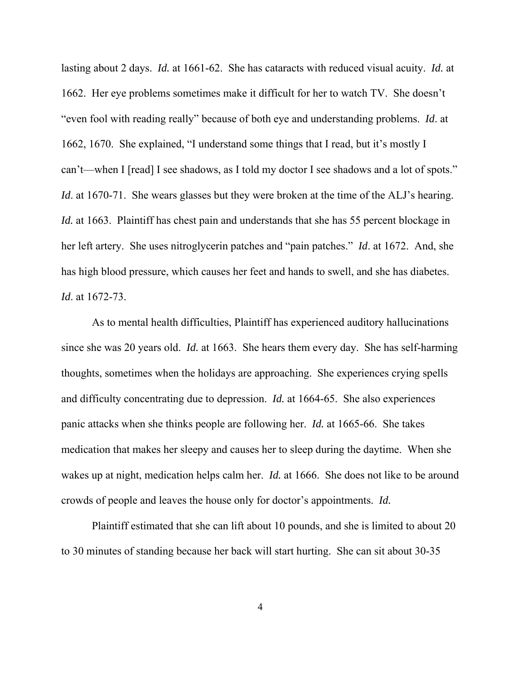lasting about 2 days. *Id.* at 1661-62. She has cataracts with reduced visual acuity. *Id.* at 1662. Her eye problems sometimes make it difficult for her to watch TV. She doesn't "even fool with reading really" because of both eye and understanding problems. *Id*. at 1662, 1670. She explained, "I understand some things that I read, but it's mostly I can't—when I [read] I see shadows, as I told my doctor I see shadows and a lot of spots." *Id*. at 1670-71. She wears glasses but they were broken at the time of the ALJ's hearing. *Id.* at 1663. Plaintiff has chest pain and understands that she has 55 percent blockage in her left artery. She uses nitroglycerin patches and "pain patches." *Id*. at 1672. And, she has high blood pressure, which causes her feet and hands to swell, and she has diabetes. *Id*. at 1672-73.

 As to mental health difficulties, Plaintiff has experienced auditory hallucinations since she was 20 years old. *Id.* at 1663. She hears them every day. She has self-harming thoughts, sometimes when the holidays are approaching. She experiences crying spells and difficulty concentrating due to depression. *Id.* at 1664-65. She also experiences panic attacks when she thinks people are following her. *Id.* at 1665-66. She takes medication that makes her sleepy and causes her to sleep during the daytime. When she wakes up at night, medication helps calm her. *Id.* at 1666. She does not like to be around crowds of people and leaves the house only for doctor's appointments. *Id.*

 Plaintiff estimated that she can lift about 10 pounds, and she is limited to about 20 to 30 minutes of standing because her back will start hurting. She can sit about 30-35

4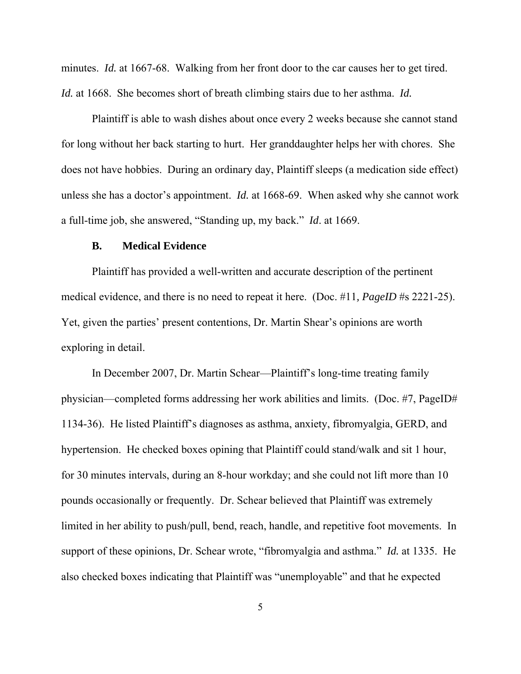minutes. *Id.* at 1667-68. Walking from her front door to the car causes her to get tired. *Id.* at 1668. She becomes short of breath climbing stairs due to her asthma. *Id.*

 Plaintiff is able to wash dishes about once every 2 weeks because she cannot stand for long without her back starting to hurt. Her granddaughter helps her with chores. She does not have hobbies. During an ordinary day, Plaintiff sleeps (a medication side effect) unless she has a doctor's appointment. *Id.* at 1668-69. When asked why she cannot work a full-time job, she answered, "Standing up, my back." *Id*. at 1669.

#### **B. Medical Evidence**

 Plaintiff has provided a well-written and accurate description of the pertinent medical evidence, and there is no need to repeat it here. (Doc. #11*, PageID* #s 2221-25). Yet, given the parties' present contentions, Dr. Martin Shear's opinions are worth exploring in detail.

 In December 2007, Dr. Martin Schear—Plaintiff's long-time treating family physician—completed forms addressing her work abilities and limits. (Doc. #7, PageID# 1134-36). He listed Plaintiff's diagnoses as asthma, anxiety, fibromyalgia, GERD, and hypertension. He checked boxes opining that Plaintiff could stand/walk and sit 1 hour, for 30 minutes intervals, during an 8-hour workday; and she could not lift more than 10 pounds occasionally or frequently. Dr. Schear believed that Plaintiff was extremely limited in her ability to push/pull, bend, reach, handle, and repetitive foot movements. In support of these opinions, Dr. Schear wrote, "fibromyalgia and asthma." *Id.* at 1335. He also checked boxes indicating that Plaintiff was "unemployable" and that he expected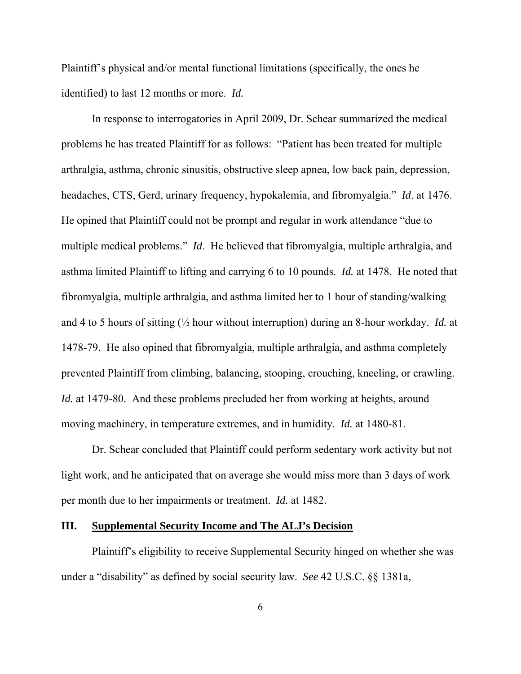Plaintiff's physical and/or mental functional limitations (specifically, the ones he identified) to last 12 months or more. *Id.*

 In response to interrogatories in April 2009, Dr. Schear summarized the medical problems he has treated Plaintiff for as follows: "Patient has been treated for multiple arthralgia, asthma, chronic sinusitis, obstructive sleep apnea, low back pain, depression, headaches, CTS, Gerd, urinary frequency, hypokalemia, and fibromyalgia." *Id*. at 1476. He opined that Plaintiff could not be prompt and regular in work attendance "due to multiple medical problems." *Id*. He believed that fibromyalgia, multiple arthralgia, and asthma limited Plaintiff to lifting and carrying 6 to 10 pounds. *Id.* at 1478. He noted that fibromyalgia, multiple arthralgia, and asthma limited her to 1 hour of standing/walking and 4 to 5 hours of sitting (½ hour without interruption) during an 8-hour workday. *Id.* at 1478-79. He also opined that fibromyalgia, multiple arthralgia, and asthma completely prevented Plaintiff from climbing, balancing, stooping, crouching, kneeling, or crawling. *Id.* at 1479-80. And these problems precluded her from working at heights, around moving machinery, in temperature extremes, and in humidity. *Id.* at 1480-81.

 Dr. Schear concluded that Plaintiff could perform sedentary work activity but not light work, and he anticipated that on average she would miss more than 3 days of work per month due to her impairments or treatment. *Id.* at 1482.

## **III. Supplemental Security Income and The ALJ's Decision**

 Plaintiff's eligibility to receive Supplemental Security hinged on whether she was under a "disability" as defined by social security law. *See* 42 U.S.C. §§ 1381a,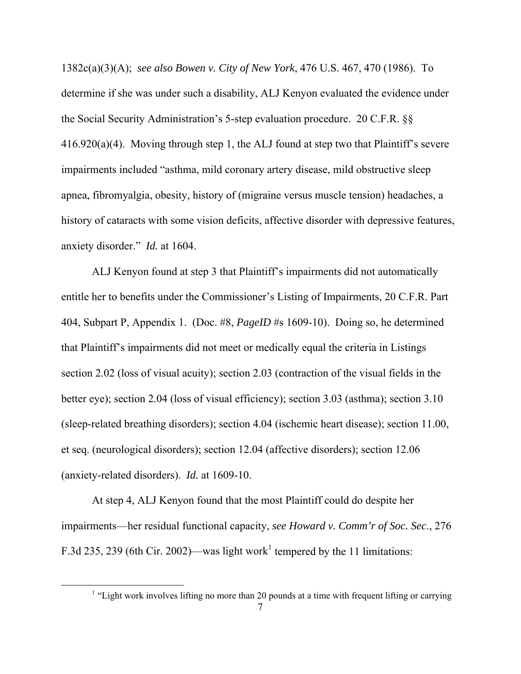1382c(a)(3)(A); *see also Bowen v. City of New York*, 476 U.S. 467, 470 (1986). To determine if she was under such a disability, ALJ Kenyon evaluated the evidence under the Social Security Administration's 5-step evaluation procedure. 20 C.F.R. §§ 416.920(a)(4). Moving through step 1, the ALJ found at step two that Plaintiff's severe impairments included "asthma, mild coronary artery disease, mild obstructive sleep apnea, fibromyalgia, obesity, history of (migraine versus muscle tension) headaches, a history of cataracts with some vision deficits, affective disorder with depressive features, anxiety disorder." *Id.* at 1604.

 ALJ Kenyon found at step 3 that Plaintiff's impairments did not automatically entitle her to benefits under the Commissioner's Listing of Impairments, 20 C.F.R. Part 404, Subpart P, Appendix 1. (Doc. #8, *PageID* #s 1609-10). Doing so, he determined that Plaintiff's impairments did not meet or medically equal the criteria in Listings section 2.02 (loss of visual acuity); section 2.03 (contraction of the visual fields in the better eye); section 2.04 (loss of visual efficiency); section 3.03 (asthma); section 3.10 (sleep-related breathing disorders); section 4.04 (ischemic heart disease); section 11.00, et seq. (neurological disorders); section 12.04 (affective disorders); section 12.06 (anxiety-related disorders). *Id.* at 1609-10.

 At step 4, ALJ Kenyon found that the most Plaintiff could do despite her impairments—her residual functional capacity, *see Howard v. Comm'r of Soc. Sec*., 276 F.3d 235, 239 (6th Cir. 2002)—was light work<sup>1</sup> tempered by the 11 limitations:

 $\overline{a}$ 

<sup>&</sup>lt;sup>1</sup> "Light work involves lifting no more than 20 pounds at a time with frequent lifting or carrying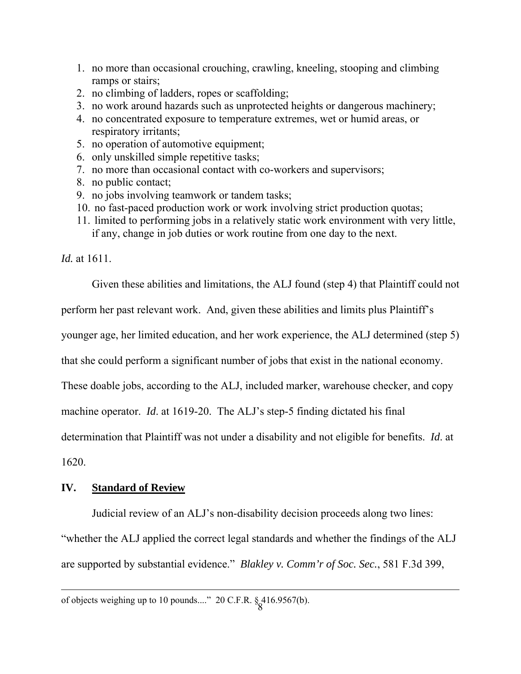- 1. no more than occasional crouching, crawling, kneeling, stooping and climbing ramps or stairs;
- 2. no climbing of ladders, ropes or scaffolding;
- 3. no work around hazards such as unprotected heights or dangerous machinery;
- 4. no concentrated exposure to temperature extremes, wet or humid areas, or respiratory irritants;
- 5. no operation of automotive equipment;
- 6. only unskilled simple repetitive tasks;
- 7. no more than occasional contact with co-workers and supervisors;
- 8. no public contact;
- 9. no jobs involving teamwork or tandem tasks;
- 10. no fast-paced production work or work involving strict production quotas;
- 11. limited to performing jobs in a relatively static work environment with very little, if any, change in job duties or work routine from one day to the next.

*Id.* at 1611.

Given these abilities and limitations, the ALJ found (step 4) that Plaintiff could not

perform her past relevant work. And, given these abilities and limits plus Plaintiff's

younger age, her limited education, and her work experience, the ALJ determined (step 5)

that she could perform a significant number of jobs that exist in the national economy.

These doable jobs, according to the ALJ, included marker, warehouse checker, and copy

machine operator. *Id*. at 1619-20. The ALJ's step-5 finding dictated his final

determination that Plaintiff was not under a disability and not eligible for benefits. *Id*. at

1620.

 $\overline{a}$ 

## **IV. Standard of Review**

 Judicial review of an ALJ's non-disability decision proceeds along two lines: "whether the ALJ applied the correct legal standards and whether the findings of the ALJ are supported by substantial evidence." *Blakley v. Comm'r of Soc. Sec.*, 581 F.3d 399,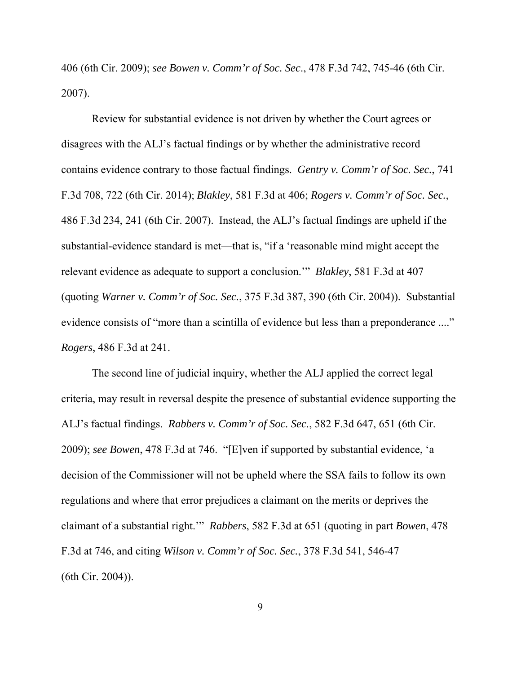406 (6th Cir. 2009); *see Bowen v. Comm'r of Soc. Sec*., 478 F.3d 742, 745-46 (6th Cir. 2007).

 Review for substantial evidence is not driven by whether the Court agrees or disagrees with the ALJ's factual findings or by whether the administrative record contains evidence contrary to those factual findings. *Gentry v. Comm'r of Soc. Sec.*, 741 F.3d 708, 722 (6th Cir. 2014); *Blakley*, 581 F.3d at 406; *Rogers v. Comm'r of Soc. Sec.*, 486 F.3d 234, 241 (6th Cir. 2007). Instead, the ALJ's factual findings are upheld if the substantial-evidence standard is met—that is, "if a 'reasonable mind might accept the relevant evidence as adequate to support a conclusion.'" *Blakley*, 581 F.3d at 407 (quoting *Warner v. Comm'r of Soc. Sec.*, 375 F.3d 387, 390 (6th Cir. 2004)). Substantial evidence consists of "more than a scintilla of evidence but less than a preponderance ...." *Rogers*, 486 F.3d at 241.

 The second line of judicial inquiry, whether the ALJ applied the correct legal criteria, may result in reversal despite the presence of substantial evidence supporting the ALJ's factual findings. *Rabbers v. Comm'r of Soc. Sec.*, 582 F.3d 647, 651 (6th Cir. 2009); *see Bowen*, 478 F.3d at 746. "[E]ven if supported by substantial evidence, 'a decision of the Commissioner will not be upheld where the SSA fails to follow its own regulations and where that error prejudices a claimant on the merits or deprives the claimant of a substantial right.'" *Rabbers*, 582 F.3d at 651 (quoting in part *Bowen*, 478 F.3d at 746, and citing *Wilson v. Comm'r of Soc. Sec.*, 378 F.3d 541, 546-47 (6th Cir. 2004)).

9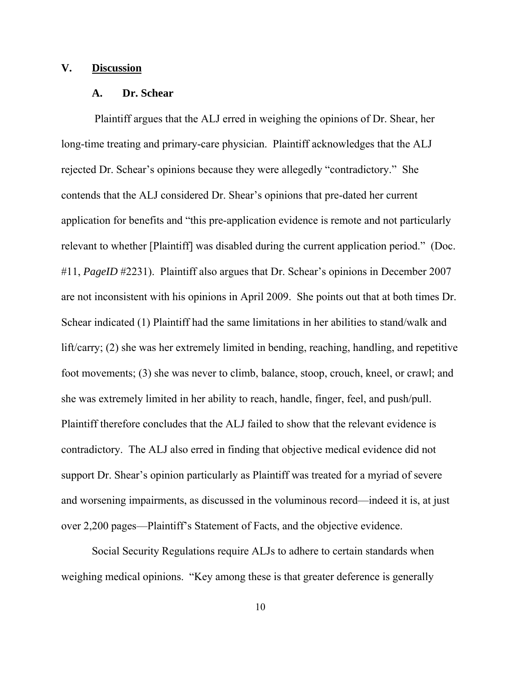## **V. Discussion**

#### **A. Dr. Schear**

 Plaintiff argues that the ALJ erred in weighing the opinions of Dr. Shear, her long-time treating and primary-care physician. Plaintiff acknowledges that the ALJ rejected Dr. Schear's opinions because they were allegedly "contradictory." She contends that the ALJ considered Dr. Shear's opinions that pre-dated her current application for benefits and "this pre-application evidence is remote and not particularly relevant to whether [Plaintiff] was disabled during the current application period." (Doc. #11, *PageID* #2231). Plaintiff also argues that Dr. Schear's opinions in December 2007 are not inconsistent with his opinions in April 2009. She points out that at both times Dr. Schear indicated (1) Plaintiff had the same limitations in her abilities to stand/walk and lift/carry; (2) she was her extremely limited in bending, reaching, handling, and repetitive foot movements; (3) she was never to climb, balance, stoop, crouch, kneel, or crawl; and she was extremely limited in her ability to reach, handle, finger, feel, and push/pull. Plaintiff therefore concludes that the ALJ failed to show that the relevant evidence is contradictory. The ALJ also erred in finding that objective medical evidence did not support Dr. Shear's opinion particularly as Plaintiff was treated for a myriad of severe and worsening impairments, as discussed in the voluminous record—indeed it is, at just over 2,200 pages—Plaintiff's Statement of Facts, and the objective evidence.

Social Security Regulations require ALJs to adhere to certain standards when weighing medical opinions. "Key among these is that greater deference is generally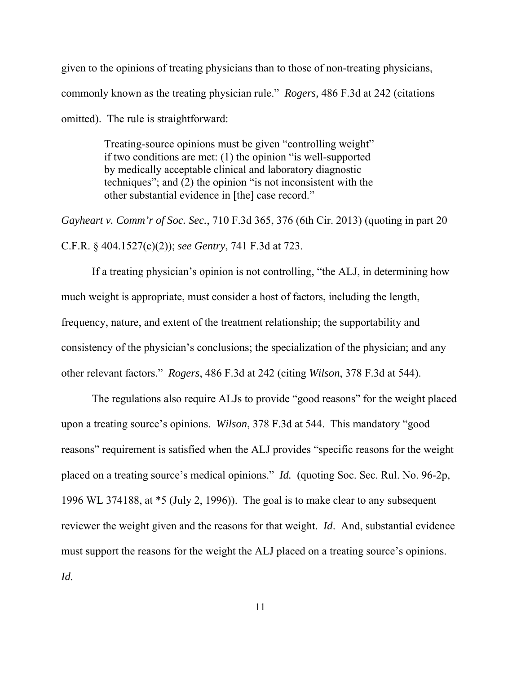given to the opinions of treating physicians than to those of non-treating physicians, commonly known as the treating physician rule." *Rogers,* 486 F.3d at 242 (citations omitted). The rule is straightforward:

> Treating-source opinions must be given "controlling weight" if two conditions are met: (1) the opinion "is well-supported by medically acceptable clinical and laboratory diagnostic techniques"; and (2) the opinion "is not inconsistent with the other substantial evidence in [the] case record."

*Gayheart v. Comm'r of Soc. Sec.*, 710 F.3d 365, 376 (6th Cir. 2013) (quoting in part 20 C.F.R. § 404.1527(c)(2)); *see Gentry*, 741 F.3d at 723.

 If a treating physician's opinion is not controlling, "the ALJ, in determining how much weight is appropriate, must consider a host of factors, including the length, frequency, nature, and extent of the treatment relationship; the supportability and consistency of the physician's conclusions; the specialization of the physician; and any other relevant factors." *Rogers*, 486 F.3d at 242 (citing *Wilson*, 378 F.3d at 544).

 The regulations also require ALJs to provide "good reasons" for the weight placed upon a treating source's opinions. *Wilson*, 378 F.3d at 544. This mandatory "good reasons" requirement is satisfied when the ALJ provides "specific reasons for the weight placed on a treating source's medical opinions." *Id.* (quoting Soc. Sec. Rul. No. 96-2p, 1996 WL 374188, at \*5 (July 2, 1996)). The goal is to make clear to any subsequent reviewer the weight given and the reasons for that weight. *Id*. And, substantial evidence must support the reasons for the weight the ALJ placed on a treating source's opinions. *Id.*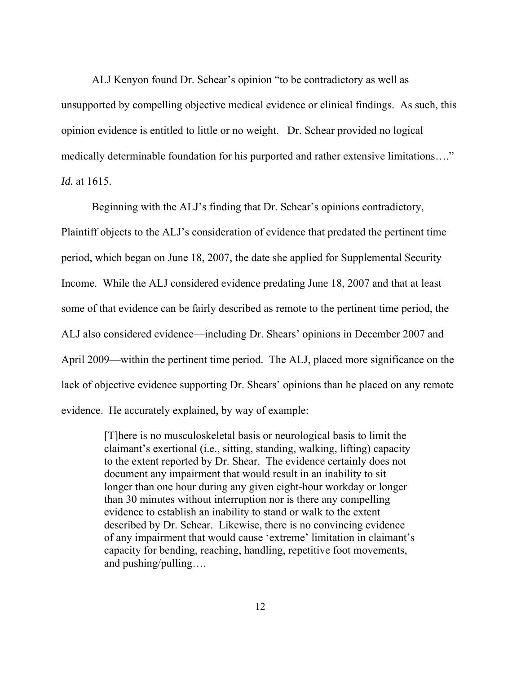ALJ Kenyon found Dr. Schear's opinion "to be contradictory as well as unsupported by compelling objective medical evidence or clinical findings. As such, this opinion evidence is entitled to little or no weight. Dr. Schear provided no logical medically determinable foundation for his purported and rather extensive limitations…." *Id.* at 1615.

 Beginning with the ALJ's finding that Dr. Schear's opinions contradictory, Plaintiff objects to the ALJ's consideration of evidence that predated the pertinent time period, which began on June 18, 2007, the date she applied for Supplemental Security Income. While the ALJ considered evidence predating June 18, 2007 and that at least some of that evidence can be fairly described as remote to the pertinent time period, the ALJ also considered evidence—including Dr. Shears' opinions in December 2007 and April 2009—within the pertinent time period. The ALJ, placed more significance on the lack of objective evidence supporting Dr. Shears' opinions than he placed on any remote evidence. He accurately explained, by way of example:

> [T]here is no musculoskeletal basis or neurological basis to limit the claimant's exertional (i.e., sitting, standing, walking, lifting) capacity to the extent reported by Dr. Shear. The evidence certainly does not document any impairment that would result in an inability to sit longer than one hour during any given eight-hour workday or longer than 30 minutes without interruption nor is there any compelling evidence to establish an inability to stand or walk to the extent described by Dr. Schear. Likewise, there is no convincing evidence of any impairment that would cause 'extreme' limitation in claimant's capacity for bending, reaching, handling, repetitive foot movements, and pushing/pulling….

> > 12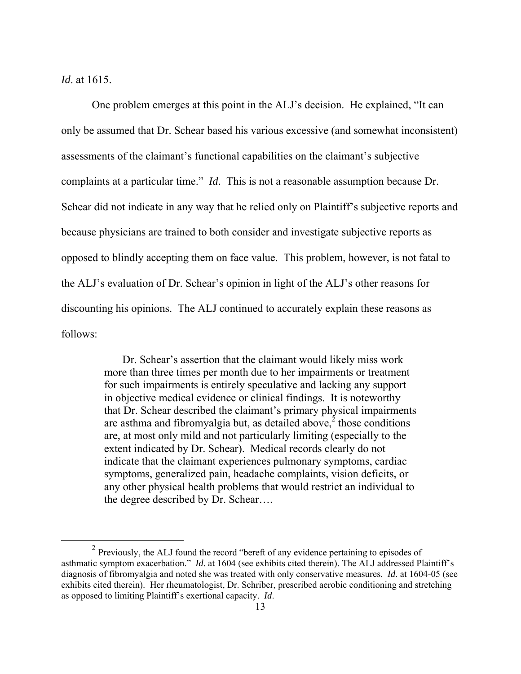*Id*. at 1615.

<u>.</u>

 One problem emerges at this point in the ALJ's decision. He explained, "It can only be assumed that Dr. Schear based his various excessive (and somewhat inconsistent) assessments of the claimant's functional capabilities on the claimant's subjective complaints at a particular time." *Id*. This is not a reasonable assumption because Dr. Schear did not indicate in any way that he relied only on Plaintiff's subjective reports and because physicians are trained to both consider and investigate subjective reports as opposed to blindly accepting them on face value. This problem, however, is not fatal to the ALJ's evaluation of Dr. Schear's opinion in light of the ALJ's other reasons for discounting his opinions. The ALJ continued to accurately explain these reasons as follows:

> Dr. Schear's assertion that the claimant would likely miss work more than three times per month due to her impairments or treatment for such impairments is entirely speculative and lacking any support in objective medical evidence or clinical findings. It is noteworthy that Dr. Schear described the claimant's primary physical impairments are asthma and fibromyalgia but, as detailed above, $\frac{3}{2}$  those conditions are, at most only mild and not particularly limiting (especially to the extent indicated by Dr. Schear). Medical records clearly do not indicate that the claimant experiences pulmonary symptoms, cardiac symptoms, generalized pain, headache complaints, vision deficits, or any other physical health problems that would restrict an individual to the degree described by Dr. Schear….

 $2$  Previously, the ALJ found the record "bereft of any evidence pertaining to episodes of asthmatic symptom exacerbation." *Id*. at 1604 (see exhibits cited therein). The ALJ addressed Plaintiff's diagnosis of fibromyalgia and noted she was treated with only conservative measures. *Id*. at 1604-05 (see exhibits cited therein). Her rheumatologist, Dr. Schriber, prescribed aerobic conditioning and stretching as opposed to limiting Plaintiff's exertional capacity. *Id*.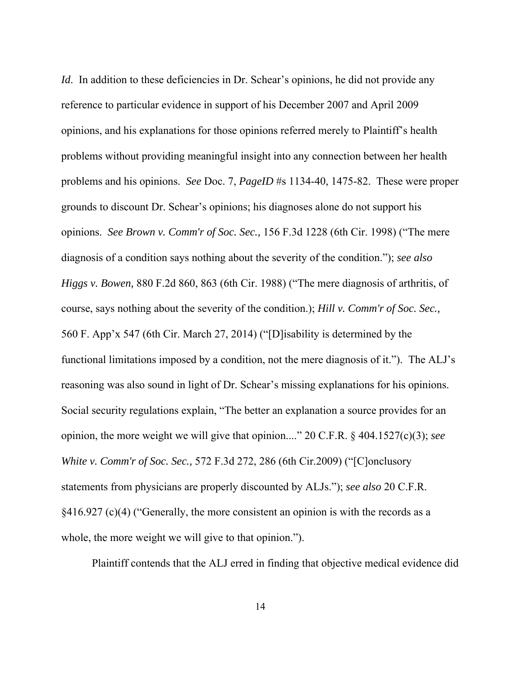*Id.* In addition to these deficiencies in Dr. Schear's opinions, he did not provide any reference to particular evidence in support of his December 2007 and April 2009 opinions, and his explanations for those opinions referred merely to Plaintiff's health problems without providing meaningful insight into any connection between her health problems and his opinions. *See* Doc. 7, *PageID* #s 1134-40, 1475-82. These were proper grounds to discount Dr. Schear's opinions; his diagnoses alone do not support his opinions. *See Brown v. Comm'r of Soc. Sec.,* 156 F.3d 1228 (6th Cir. 1998) ("The mere diagnosis of a condition says nothing about the severity of the condition."); *see also Higgs v. Bowen,* 880 F.2d 860, 863 (6th Cir. 1988) ("The mere diagnosis of arthritis, of course, says nothing about the severity of the condition.); *Hill v. Comm'r of Soc. Sec.,* 560 F. App'x 547 (6th Cir. March 27, 2014) ("[D]isability is determined by the functional limitations imposed by a condition, not the mere diagnosis of it."). The ALJ's reasoning was also sound in light of Dr. Schear's missing explanations for his opinions. Social security regulations explain, "The better an explanation a source provides for an opinion, the more weight we will give that opinion...." 20 C.F.R. § 404.1527(c)(3); *see White v. Comm'r of Soc. Sec.,* 572 F.3d 272, 286 (6th Cir.2009) ("[C]onclusory statements from physicians are properly discounted by ALJs."); *see also* 20 C.F.R. §416.927 (c)(4) ("Generally, the more consistent an opinion is with the records as a whole, the more weight we will give to that opinion.").

Plaintiff contends that the ALJ erred in finding that objective medical evidence did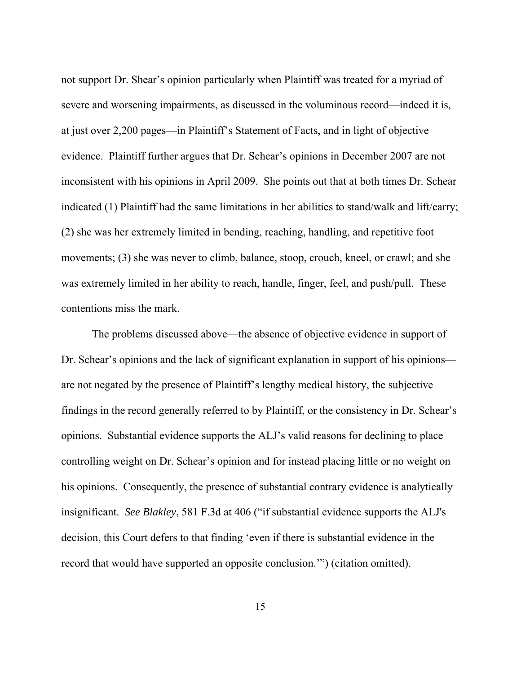not support Dr. Shear's opinion particularly when Plaintiff was treated for a myriad of severe and worsening impairments, as discussed in the voluminous record—indeed it is, at just over 2,200 pages—in Plaintiff's Statement of Facts, and in light of objective evidence. Plaintiff further argues that Dr. Schear's opinions in December 2007 are not inconsistent with his opinions in April 2009. She points out that at both times Dr. Schear indicated (1) Plaintiff had the same limitations in her abilities to stand/walk and lift/carry; (2) she was her extremely limited in bending, reaching, handling, and repetitive foot movements; (3) she was never to climb, balance, stoop, crouch, kneel, or crawl; and she was extremely limited in her ability to reach, handle, finger, feel, and push/pull. These contentions miss the mark.

 The problems discussed above—the absence of objective evidence in support of Dr. Schear's opinions and the lack of significant explanation in support of his opinions are not negated by the presence of Plaintiff's lengthy medical history, the subjective findings in the record generally referred to by Plaintiff, or the consistency in Dr. Schear's opinions. Substantial evidence supports the ALJ's valid reasons for declining to place controlling weight on Dr. Schear's opinion and for instead placing little or no weight on his opinions. Consequently, the presence of substantial contrary evidence is analytically insignificant. *See Blakley*, 581 F.3d at 406 ("if substantial evidence supports the ALJ's decision, this Court defers to that finding 'even if there is substantial evidence in the record that would have supported an opposite conclusion.'") (citation omitted).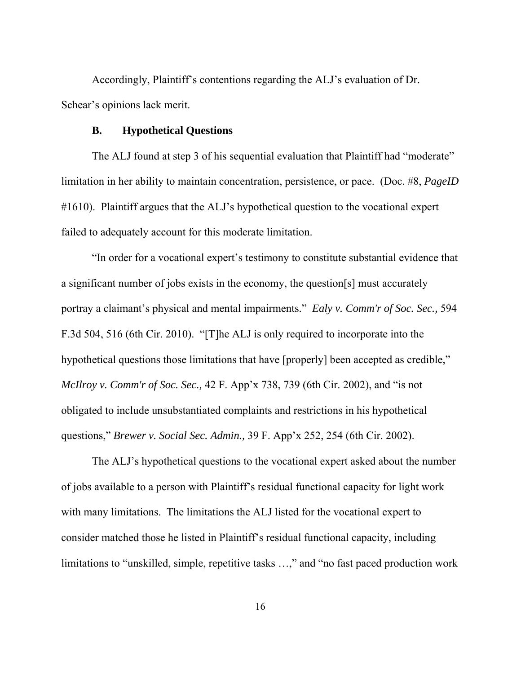Accordingly, Plaintiff's contentions regarding the ALJ's evaluation of Dr. Schear's opinions lack merit.

#### **B. Hypothetical Questions**

The ALJ found at step 3 of his sequential evaluation that Plaintiff had "moderate" limitation in her ability to maintain concentration, persistence, or pace. (Doc. #8, *PageID* #1610). Plaintiff argues that the ALJ's hypothetical question to the vocational expert failed to adequately account for this moderate limitation.

 "In order for a vocational expert's testimony to constitute substantial evidence that a significant number of jobs exists in the economy, the question[s] must accurately portray a claimant's physical and mental impairments." *Ealy v. Comm'r of Soc. Sec.,* 594 F.3d 504, 516 (6th Cir. 2010). "[T]he ALJ is only required to incorporate into the hypothetical questions those limitations that have [properly] been accepted as credible," *McIlroy v. Comm'r of Soc. Sec.,* 42 F. App'x 738, 739 (6th Cir. 2002), and "is not obligated to include unsubstantiated complaints and restrictions in his hypothetical questions," *Brewer v. Social Sec. Admin.,* 39 F. App'x 252, 254 (6th Cir. 2002).

 The ALJ's hypothetical questions to the vocational expert asked about the number of jobs available to a person with Plaintiff's residual functional capacity for light work with many limitations. The limitations the ALJ listed for the vocational expert to consider matched those he listed in Plaintiff's residual functional capacity, including limitations to "unskilled, simple, repetitive tasks …," and "no fast paced production work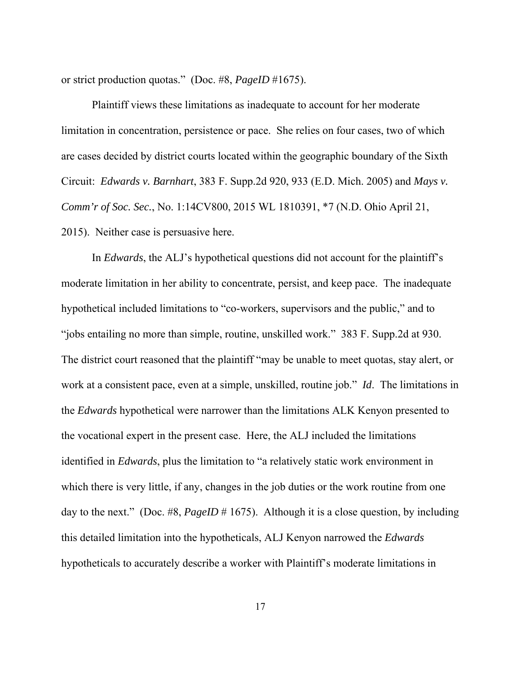or strict production quotas." (Doc. #8, *PageID* #1675).

 Plaintiff views these limitations as inadequate to account for her moderate limitation in concentration, persistence or pace. She relies on four cases, two of which are cases decided by district courts located within the geographic boundary of the Sixth Circuit: *Edwards v. Barnhart*, 383 F. Supp.2d 920, 933 (E.D. Mich. 2005) and *Mays v. Comm'r of Soc. Sec.*, No. 1:14CV800, 2015 WL 1810391, \*7 (N.D. Ohio April 21, 2015). Neither case is persuasive here.

 In *Edwards*, the ALJ's hypothetical questions did not account for the plaintiff's moderate limitation in her ability to concentrate, persist, and keep pace. The inadequate hypothetical included limitations to "co-workers, supervisors and the public," and to "jobs entailing no more than simple, routine, unskilled work." 383 F. Supp.2d at 930. The district court reasoned that the plaintiff "may be unable to meet quotas, stay alert, or work at a consistent pace, even at a simple, unskilled, routine job." *Id*. The limitations in the *Edwards* hypothetical were narrower than the limitations ALK Kenyon presented to the vocational expert in the present case. Here, the ALJ included the limitations identified in *Edwards*, plus the limitation to "a relatively static work environment in which there is very little, if any, changes in the job duties or the work routine from one day to the next." (Doc. #8, *PageID* # 1675). Although it is a close question, by including this detailed limitation into the hypotheticals, ALJ Kenyon narrowed the *Edwards* hypotheticals to accurately describe a worker with Plaintiff's moderate limitations in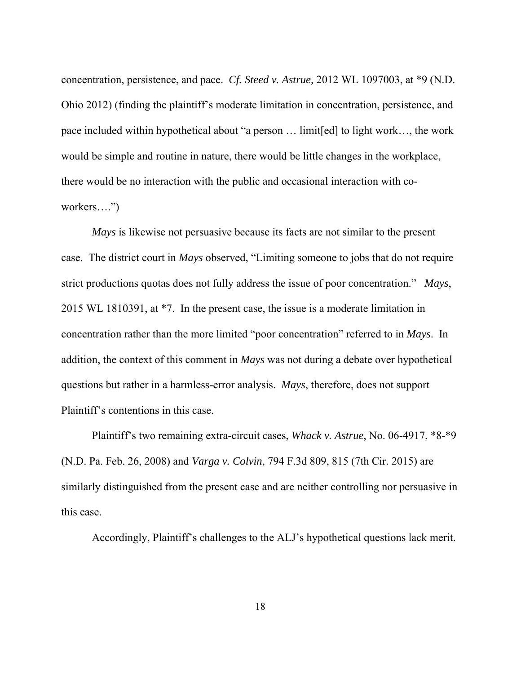concentration, persistence, and pace. *Cf. Steed v. Astrue,* 2012 WL 1097003, at \*9 (N.D. Ohio 2012) (finding the plaintiff's moderate limitation in concentration, persistence, and pace included within hypothetical about "a person … limit[ed] to light work…, the work would be simple and routine in nature, there would be little changes in the workplace, there would be no interaction with the public and occasional interaction with coworkers….")

*Mays* is likewise not persuasive because its facts are not similar to the present case. The district court in *Mays* observed, "Limiting someone to jobs that do not require strict productions quotas does not fully address the issue of poor concentration." *Mays*, 2015 WL 1810391, at \*7. In the present case, the issue is a moderate limitation in concentration rather than the more limited "poor concentration" referred to in *Mays*. In addition, the context of this comment in *Mays* was not during a debate over hypothetical questions but rather in a harmless-error analysis. *Mays*, therefore, does not support Plaintiff's contentions in this case.

 Plaintiff's two remaining extra-circuit cases, *Whack v. Astrue*, No. 06-4917, \*8-\*9 (N.D. Pa. Feb. 26, 2008) and *Varga v. Colvin*, 794 F.3d 809, 815 (7th Cir. 2015) are similarly distinguished from the present case and are neither controlling nor persuasive in this case.

Accordingly, Plaintiff's challenges to the ALJ's hypothetical questions lack merit.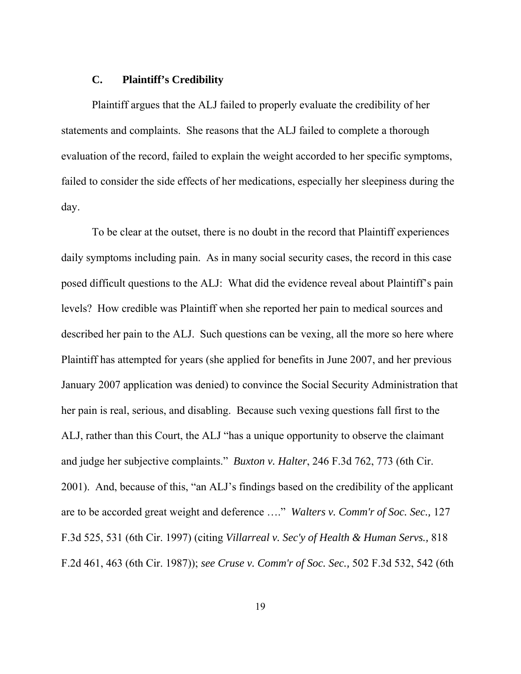## **C. Plaintiff's Credibility**

 Plaintiff argues that the ALJ failed to properly evaluate the credibility of her statements and complaints. She reasons that the ALJ failed to complete a thorough evaluation of the record, failed to explain the weight accorded to her specific symptoms, failed to consider the side effects of her medications, especially her sleepiness during the day.

 To be clear at the outset, there is no doubt in the record that Plaintiff experiences daily symptoms including pain. As in many social security cases, the record in this case posed difficult questions to the ALJ: What did the evidence reveal about Plaintiff's pain levels? How credible was Plaintiff when she reported her pain to medical sources and described her pain to the ALJ. Such questions can be vexing, all the more so here where Plaintiff has attempted for years (she applied for benefits in June 2007, and her previous January 2007 application was denied) to convince the Social Security Administration that her pain is real, serious, and disabling. Because such vexing questions fall first to the ALJ, rather than this Court, the ALJ "has a unique opportunity to observe the claimant and judge her subjective complaints." *Buxton v. Halter*, 246 F.3d 762, 773 (6th Cir. 2001). And, because of this, "an ALJ's findings based on the credibility of the applicant are to be accorded great weight and deference …." *Walters v. Comm'r of Soc. Sec.,* 127 F.3d 525, 531 (6th Cir. 1997) (citing *Villarreal v. Sec'y of Health & Human Servs.,* 818 F.2d 461, 463 (6th Cir. 1987)); *see Cruse v. Comm'r of Soc. Sec.,* 502 F.3d 532, 542 (6th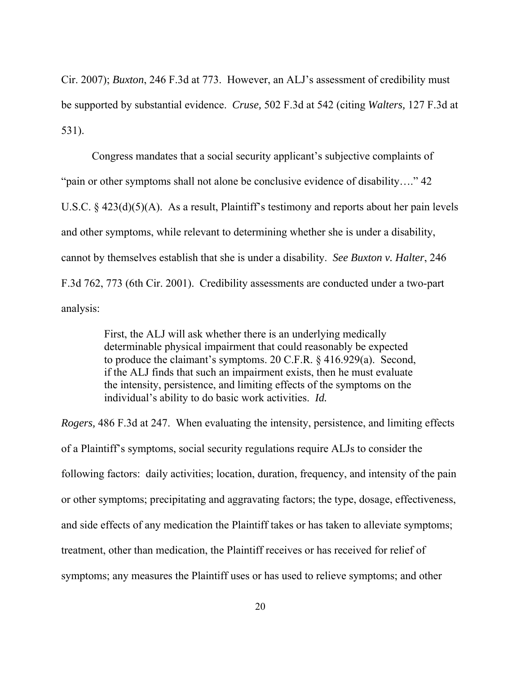Cir. 2007); *Buxton*, 246 F.3d at 773. However, an ALJ's assessment of credibility must be supported by substantial evidence. *Cruse,* 502 F.3d at 542 (citing *Walters,* 127 F.3d at 531).

 Congress mandates that a social security applicant's subjective complaints of "pain or other symptoms shall not alone be conclusive evidence of disability…." 42 U.S.C. § 423(d)(5)(A). As a result, Plaintiff's testimony and reports about her pain levels and other symptoms, while relevant to determining whether she is under a disability, cannot by themselves establish that she is under a disability. *See Buxton v. Halter*, 246 F.3d 762, 773 (6th Cir. 2001). Credibility assessments are conducted under a two-part analysis:

> First, the ALJ will ask whether there is an underlying medically determinable physical impairment that could reasonably be expected to produce the claimant's symptoms. 20 C.F.R. § 416.929(a). Second, if the ALJ finds that such an impairment exists, then he must evaluate the intensity, persistence, and limiting effects of the symptoms on the individual's ability to do basic work activities. *Id.*

*Rogers,* 486 F.3d at 247. When evaluating the intensity, persistence, and limiting effects of a Plaintiff's symptoms, social security regulations require ALJs to consider the following factors: daily activities; location, duration, frequency, and intensity of the pain or other symptoms; precipitating and aggravating factors; the type, dosage, effectiveness, and side effects of any medication the Plaintiff takes or has taken to alleviate symptoms; treatment, other than medication, the Plaintiff receives or has received for relief of symptoms; any measures the Plaintiff uses or has used to relieve symptoms; and other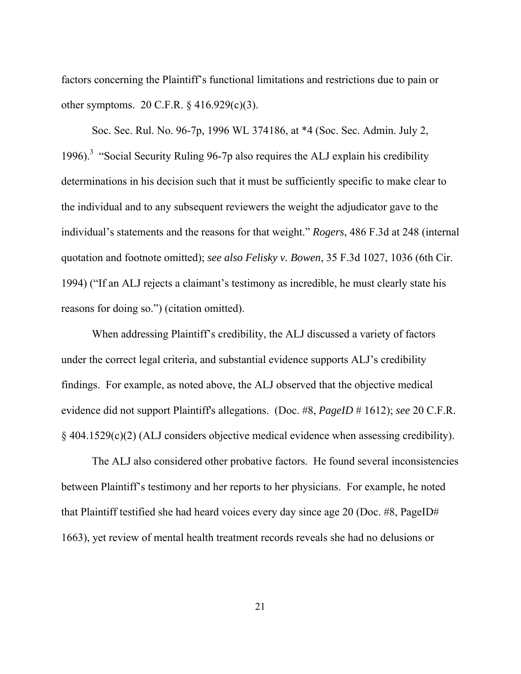factors concerning the Plaintiff's functional limitations and restrictions due to pain or other symptoms. 20 C.F.R. § 416.929(c)(3).

 Soc. Sec. Rul. No. 96-7p, 1996 WL 374186, at \*4 (Soc. Sec. Admin. July 2, 1996).<sup>3</sup> "Social Security Ruling 96-7p also requires the ALJ explain his credibility determinations in his decision such that it must be sufficiently specific to make clear to the individual and to any subsequent reviewers the weight the adjudicator gave to the individual's statements and the reasons for that weight." *Rogers*, 486 F.3d at 248 (internal quotation and footnote omitted); *see also Felisky v. Bowen*, 35 F.3d 1027, 1036 (6th Cir. 1994) ("If an ALJ rejects a claimant's testimony as incredible, he must clearly state his reasons for doing so.") (citation omitted).

 When addressing Plaintiff's credibility, the ALJ discussed a variety of factors under the correct legal criteria, and substantial evidence supports ALJ's credibility findings. For example, as noted above, the ALJ observed that the objective medical evidence did not support Plaintiff's allegations. (Doc. #8, *PageID* # 1612); *see* 20 C.F.R. § 404.1529(c)(2) (ALJ considers objective medical evidence when assessing credibility).

 The ALJ also considered other probative factors. He found several inconsistencies between Plaintiff's testimony and her reports to her physicians. For example, he noted that Plaintiff testified she had heard voices every day since age 20 (Doc. #8, PageID# 1663), yet review of mental health treatment records reveals she had no delusions or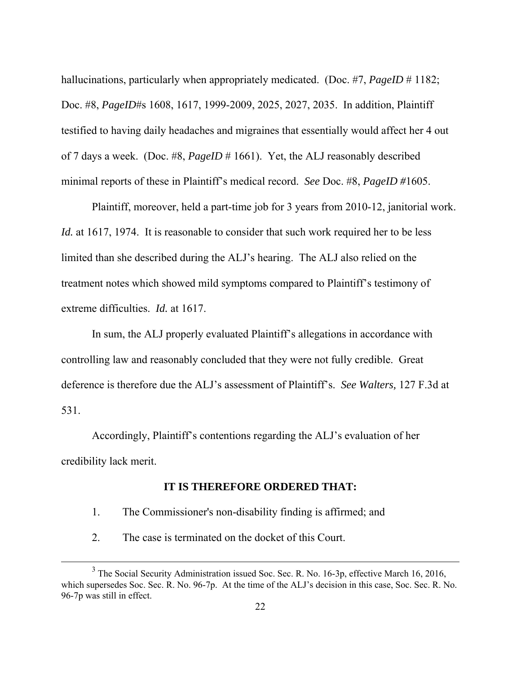hallucinations, particularly when appropriately medicated. (Doc. #7, *PageID* # 1182; Doc. #8, *PageID*#s 1608, 1617, 1999-2009, 2025, 2027, 2035. In addition, Plaintiff testified to having daily headaches and migraines that essentially would affect her 4 out of 7 days a week. (Doc. #8, *PageID* # 1661). Yet, the ALJ reasonably described minimal reports of these in Plaintiff's medical record. *See* Doc. #8, *PageID #*1605.

 Plaintiff, moreover, held a part-time job for 3 years from 2010-12, janitorial work. *Id.* at 1617, 1974. It is reasonable to consider that such work required her to be less limited than she described during the ALJ's hearing. The ALJ also relied on the treatment notes which showed mild symptoms compared to Plaintiff's testimony of extreme difficulties. *Id.* at 1617.

 In sum, the ALJ properly evaluated Plaintiff's allegations in accordance with controlling law and reasonably concluded that they were not fully credible. Great deference is therefore due the ALJ's assessment of Plaintiff's. *See Walters,* 127 F.3d at 531.

 Accordingly, Plaintiff's contentions regarding the ALJ's evaluation of her credibility lack merit.

## **IT IS THEREFORE ORDERED THAT:**

- 1. The Commissioner's non-disability finding is affirmed; and
- 2. The case is terminated on the docket of this Court.

-

 $3$  The Social Security Administration issued Soc. Sec. R. No. 16-3p, effective March 16, 2016, which supersedes Soc. Sec. R. No. 96-7p. At the time of the ALJ's decision in this case, Soc. Sec. R. No. 96-7p was still in effect.